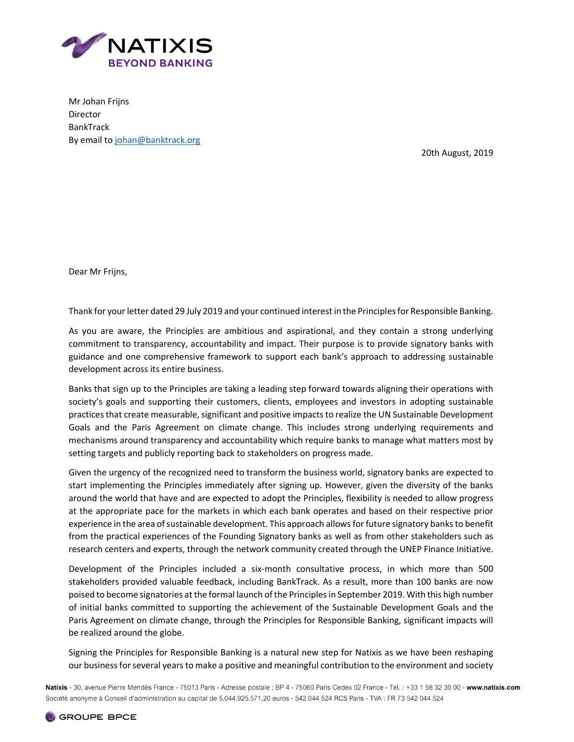

Mr Johan Frijns Director BankTrack By email to johan@banktrack.org

20th August, 2019

Dear Mr Frijns,

Thank for your letter dated 29 July 2019 and your continued interest in the Principles for Responsible Banking.

As you are aware, the Principles are ambitious and aspirational, and they contain a strong underlying commitment to transparency, accountability and impact. Their purpose is to provide signatory banks with guidance and one comprehensive framework to support each bank's approach to addressing sustainable development across its entire business.

Banks that sign up to the Principles are taking a leading step forward towards aligning their operations with society's goals and supporting their customers, clients, employees and investors in adopting sustainable practices that create measurable, significant and positive impacts to realize the UN Sustainable Development Goals and the Paris Agreement on climate change. This includes strong underlying requirements and mechanisms around transparency and accountability which require banks to manage what matters most by setting targets and publicly reporting back to stakeholders on progress made.

Given the urgency of the recognized need to transform the business world, signatory banks are expected to start implementing the Principles immediately after signing up. However, given the diversity of the banks around the world that have and are expected to adopt the Principles, flexibility is needed to allow progress at the appropriate pace for the markets in which each bank operates and based on their respective prior experience in the area of sustainable development. This approach allows for future signatory banks to benefit from the practical experiences of the Founding Signatory banks as well as from other stakeholders such as research centers and experts, through the network community created through the UNEP Finance Initiative.

Development of the Principles included a six-month consultative process, in which more than 500 stakeholders provided valuable feedback, including BankTrack. As a result, more than 100 banks are now poised to become signatories at the formal launch of the Principles in September 2019. With this high number of initial banks committed to supporting the achievement of the Sustainable Development Goals and the Paris Agreement on climate change, through the Principles for Responsible Banking, significant impacts will be realized around the globe.

Signing the Principles for Responsible Banking is a natural new step for Natixis as we have been reshaping our business for several years to make a positive and meaningful contribution to the environment and society

Natixis - 30, avenue Pierre Mendès France - 75013 Paris - Adresse postale : BP 4 - 75060 Paris Cedex 02 France - Tél. : +33 1 58 32 30 00 - www.natixis.com Société anonyme à Conseil d'administration au capital de 5.044.925.571,20 euros - 542 044 524 RCS Paris - TVA : FR 73 542 044 524